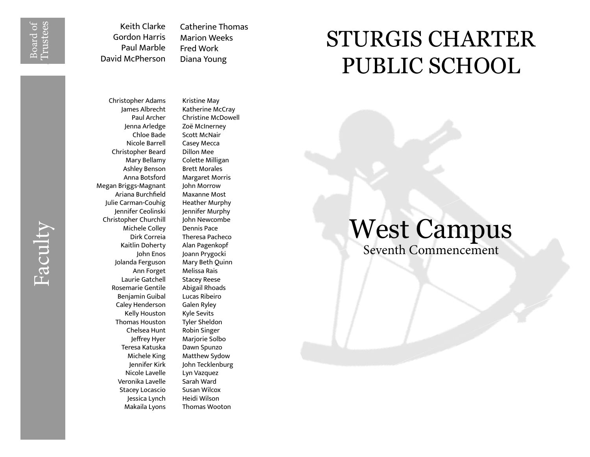Board of<br>Irustees Trustees

Faculty

Keith Clarke Gordon Harris Paul Marble David McPherson

Catherine Thomas Marion Weeks Fred Work Diana Young

## Christopher Adams James Albrecht Paul Archer Jenna Arledge Chloe Bade Nicole Barrell Christopher Beard Mary Bellamy Ashley Benson Anna Botsford Megan Briggs-Magnant Ariana Burchfield Julie Carman-Couhig Jennifer Ceolinski Christopher Churchill Michele Colley Dirk Correia Kaitlin Doherty John Enos Jolanda Ferguson Ann Forget Laurie Gatchell Rosemarie Gentile Benjamin Guibal Caley Henderson Kelly Houston Thomas Houston Chelsea Hunt Jeffrey Hyer Teresa Katuska Michele King Jennifer Kirk Nicole Lavelle Veronika Lavelle Stacey Locascio Jessica Lynch Makaila Lyons

Kristine May Katherine McCray Christine McDowell Zoë McInerney Scott McNair Casey Mecca Dillon Mee Colette Milligan Brett Morales Margaret Morris John Morrow Maxanne Most Heather Murphy Jennifer Murphy John Newcombe Dennis Pace Theresa Pacheco Alan Pagenkopf Joann Prygocki Mary Beth Quinn Melissa Rais Stacey Reese Abigail Rhoads Lucas Ribeiro Galen Ryley Kyle Sevits Tyler Sheldon Robin Singer Marjorie Solbo Dawn Spunzo Matthew Sydow John Tecklenburg Lyn Vazquez Sarah Ward Susan Wilcox Heidi Wilson Thomas Wooton

## STURGIS CHARTER PUBLIC SCHOOL

## West Campus Seventh Commencement